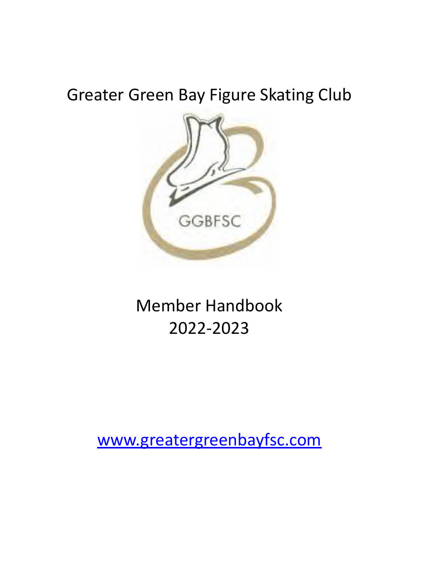# Greater Green Bay Figure Skating Club



# Member Handbook 2022-2023

[www.greatergreenbayfsc.com](http://www.greatergreenbayfsc.com)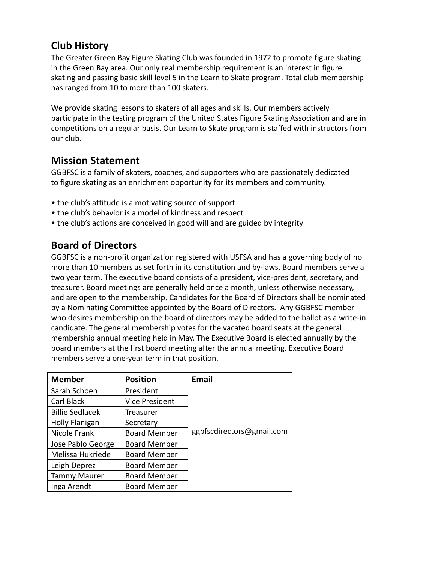# **Club History**

The Greater Green Bay Figure Skating Club was founded in 1972 to promote figure skating in the Green Bay area. Our only real membership requirement is an interest in figure skating and passing basic skill level 5 in the Learn to Skate program. Total club membership has ranged from 10 to more than 100 skaters.

We provide skating lessons to skaters of all ages and skills. Our members actively participate in the testing program of the United States Figure Skating Association and are in competitions on a regular basis. Our Learn to Skate program is staffed with instructors from our club.

### **Mission Statement**

GGBFSC is a family of skaters, coaches, and supporters who are passionately dedicated to figure skating as an enrichment opportunity for its members and community.

- the club's attitude is a motivating source of support
- the club's behavior is a model of kindness and respect
- the club's actions are conceived in good will and are guided by integrity

## **Board of Directors**

GGBFSC is a non-profit organization registered with USFSA and has a governing body of no more than 10 members as set forth in its constitution and by-laws. Board members serve a two year term. The executive board consists of a president, vice-president, secretary, and treasurer. Board meetings are generally held once a month, unless otherwise necessary, and are open to the membership. Candidates for the Board of Directors shall be nominated by a Nominating Committee appointed by the Board of Directors. Any GGBFSC member who desires membership on the board of directors may be added to the ballot as a write-in candidate. The general membership votes for the vacated board seats at the general membership annual meeting held in May. The Executive Board is elected annually by the board members at the first board meeting after the annual meeting. Executive Board members serve a one-year term in that position.

| <b>Member</b>          | <b>Position</b>       | <b>Email</b>              |
|------------------------|-----------------------|---------------------------|
| Sarah Schoen           | President             |                           |
| Carl Black             | <b>Vice President</b> |                           |
| <b>Billie Sedlacek</b> | Treasurer             |                           |
| <b>Holly Flanigan</b>  | Secretary             |                           |
| Nicole Frank           | <b>Board Member</b>   | ggbfscdirectors@gmail.com |
| Jose Pablo George      | <b>Board Member</b>   |                           |
| Melissa Hukriede       | <b>Board Member</b>   |                           |
| Leigh Deprez           | <b>Board Member</b>   |                           |
| <b>Tammy Maurer</b>    | <b>Board Member</b>   |                           |
| Inga Arendt            | <b>Board Member</b>   |                           |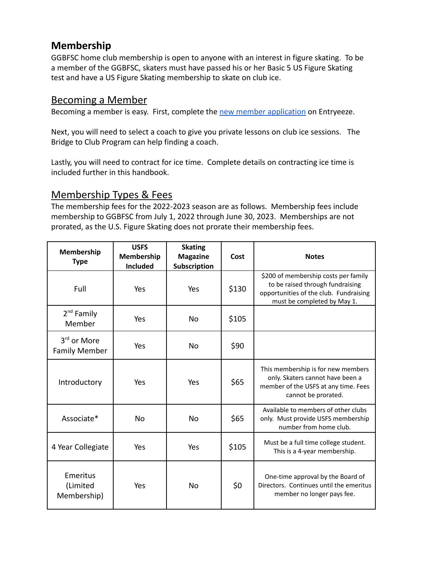## **Membership**

GGBFSC home club membership is open to anyone with an interest in figure skating. To be a member of the GGBFSC, skaters must have passed his or her Basic 5 US Figure Skating test and have a US Figure Skating membership to skate on club ice.

### Becoming a Member

Becoming a member is easy. First, complete the new [member application](http://comp.entryeeze.com/Membership/FamRemind.aspx?cid=221) on Entryeeze.

Next, you will need to select a coach to give you private lessons on club ice sessions. The Bridge to Club Program can help finding a coach.

Lastly, you will need to contract for ice time. Complete details on contracting ice time is included further in this handbook.

# Membership Types & Fees

The membership fees for the 2022-2023 season are as follows. Membership fees include membership to GGBFSC from July 1, 2022 through June 30, 2023. Memberships are not prorated, as the U.S. Figure Skating does not prorate their membership fees.

| Membership<br><b>Type</b>             | <b>USFS</b><br>Membership<br><b>Included</b> | <b>Skating</b><br><b>Magazine</b><br>Subscription | Cost  | <b>Notes</b>                                                                                                                                      |
|---------------------------------------|----------------------------------------------|---------------------------------------------------|-------|---------------------------------------------------------------------------------------------------------------------------------------------------|
| Full                                  | Yes                                          | Yes                                               | \$130 | \$200 of membership costs per family<br>to be raised through fundraising<br>opportunities of the club. Fundraising<br>must be completed by May 1. |
| $2^{nd}$ Family<br>Member             | Yes                                          | N <sub>0</sub>                                    | \$105 |                                                                                                                                                   |
| $3rd$ or More<br><b>Family Member</b> | Yes                                          | <b>No</b>                                         | \$90  |                                                                                                                                                   |
| Introductory                          | Yes                                          | Yes                                               | \$65  | This membership is for new members<br>only. Skaters cannot have been a<br>member of the USFS at any time. Fees<br>cannot be prorated.             |
| Associate*                            | No                                           | N <sub>0</sub>                                    | \$65  | Available to members of other clubs<br>only. Must provide USFS membership<br>number from home club.                                               |
| 4 Year Collegiate                     | Yes                                          | Yes                                               | \$105 | Must be a full time college student.<br>This is a 4-year membership.                                                                              |
| Emeritus<br>(Limited<br>Membership)   | Yes                                          | No                                                | \$0   | One-time approval by the Board of<br>Directors. Continues until the emeritus<br>member no longer pays fee.                                        |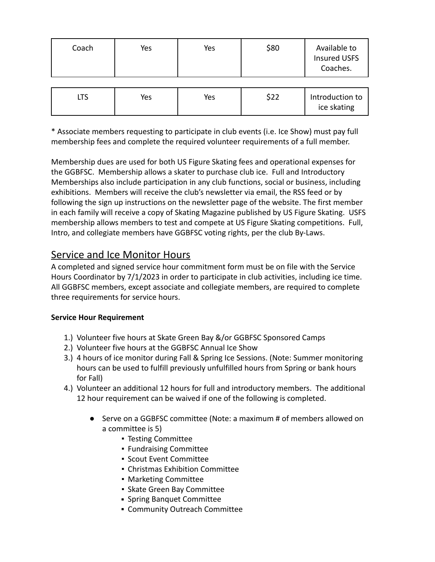| Coach | Yes | Yes | \$80 | Available to<br><b>Insured USFS</b><br>Coaches. |
|-------|-----|-----|------|-------------------------------------------------|
|       |     |     |      |                                                 |
| ıTS   | Yes | Yes | \$22 | Introduction to                                 |

ice skating

\* Associate members requesting to participate in club events (i.e. Ice Show) must pay full membership fees and complete the required volunteer requirements of a full member.

Membership dues are used for both US Figure Skating fees and operational expenses for the GGBFSC. Membership allows a skater to purchase club ice. Full and Introductory Memberships also include participation in any club functions, social or business, including exhibitions. Members will receive the club's newsletter via email, the RSS feed or by following the sign up instructions on the newsletter page of the website. The first member in each family will receive a copy of Skating Magazine published by US Figure Skating. USFS membership allows members to test and compete at US Figure Skating competitions. Full, Intro, and collegiate members have GGBFSC voting rights, per the club By-Laws.

### Service and Ice Monitor Hours

A completed and signed service hour commitment form must be on file with the Service Hours Coordinator by 7/1/2023 in order to participate in club activities, including ice time. All GGBFSC members, except associate and collegiate members, are required to complete three requirements for service hours.

#### **Service Hour Requirement**

- 1.) Volunteer five hours at Skate Green Bay &/or GGBFSC Sponsored Camps
- 2.) Volunteer five hours at the GGBFSC Annual Ice Show
- 3.) 4 hours of ice monitor during Fall & Spring Ice Sessions. (Note: Summer monitoring hours can be used to fulfill previously unfulfilled hours from Spring or bank hours for Fall)
- 4.) Volunteer an additional 12 hours for full and introductory members. The additional 12 hour requirement can be waived if one of the following is completed.
	- Serve on a GGBFSC committee (Note: a maximum # of members allowed on a committee is 5)
		- Testing Committee
		- Fundraising Committee
		- Scout Event Committee
		- Christmas Exhibition Committee
		- Marketing Committee
		- Skate Green Bay Committee
		- **·** Spring Banquet Committee
		- **Community Outreach Committee**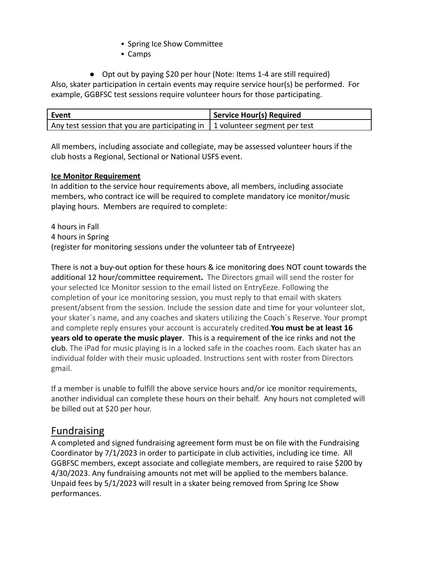- **.** Spring Ice Show Committee
- Camps

● Opt out by paying \$20 per hour (Note: Items 1-4 are still required) Also, skater participation in certain events may require service hour(s) be performed. For example, GGBFSC test sessions require volunteer hours for those participating.

| Event                                                                               | Service Hour(s) Required |
|-------------------------------------------------------------------------------------|--------------------------|
| Any test session that you are participating in $\vert$ 1 volunteer segment per test |                          |

All members, including associate and collegiate, may be assessed volunteer hours if the club hosts a Regional, Sectional or National USFS event.

#### **Ice Monitor Requirement**

In addition to the service hour requirements above, all members, including associate members, who contract ice will be required to complete mandatory ice monitor/music playing hours. Members are required to complete:

4 hours in Fall 4 hours in Spring (register for monitoring sessions under the volunteer tab of Entryeeze)

There is not a buy-out option for these hours & ice monitoring does NOT count towards the additional 12 hour/committee requirement**.** The Directors gmail will send the roster for your selected Ice Monitor session to the email listed on EntryEeze. Following the completion of your ice monitoring session, you must reply to that email with skaters present/absent from the session. Include the session date and time for your volunteer slot, your skater´s name, and any coaches and skaters utilizing the Coach´s Reserve. Your prompt and complete reply ensures your account is accurately credited.**You must be at least 16 years old to operate the music player**. This is a requirement of the ice rinks and not the club. The iPad for music playing is in a locked safe in the coaches room. Each skater has an individual folder with their music uploaded. Instructions sent with roster from Directors gmail.

If a member is unable to fulfill the above service hours and/or ice monitor requirements, another individual can complete these hours on their behalf. Any hours not completed will be billed out at \$20 per hour.

### Fundraising

A completed and signed fundraising agreement form must be on file with the Fundraising Coordinator by 7/1/2023 in order to participate in club activities, including ice time. All GGBFSC members, except associate and collegiate members, are required to raise \$200 by 4/30/2023. Any fundraising amounts not met will be applied to the members balance. Unpaid fees by 5/1/2023 will result in a skater being removed from Spring Ice Show performances.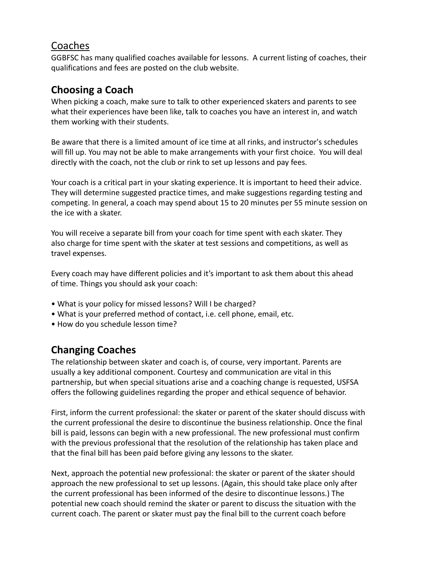### Coaches

GGBFSC has many qualified coaches available for lessons. A current listing of coaches, their qualifications and fees are posted on the club website.

# **Choosing a Coach**

When picking a coach, make sure to talk to other experienced skaters and parents to see what their experiences have been like, talk to coaches you have an interest in, and watch them working with their students.

Be aware that there is a limited amount of ice time at all rinks, and instructor's schedules will fill up. You may not be able to make arrangements with your first choice. You will deal directly with the coach, not the club or rink to set up lessons and pay fees.

Your coach is a critical part in your skating experience. It is important to heed their advice. They will determine suggested practice times, and make suggestions regarding testing and competing. In general, a coach may spend about 15 to 20 minutes per 55 minute session on the ice with a skater.

You will receive a separate bill from your coach for time spent with each skater. They also charge for time spent with the skater at test sessions and competitions, as well as travel expenses.

Every coach may have different policies and it's important to ask them about this ahead of time. Things you should ask your coach:

- What is your policy for missed lessons? Will I be charged?
- What is your preferred method of contact, i.e. cell phone, email, etc.
- How do you schedule lesson time?

# **Changing Coaches**

The relationship between skater and coach is, of course, very important. Parents are usually a key additional component. Courtesy and communication are vital in this partnership, but when special situations arise and a coaching change is requested, USFSA offers the following guidelines regarding the proper and ethical sequence of behavior.

First, inform the current professional: the skater or parent of the skater should discuss with the current professional the desire to discontinue the business relationship. Once the final bill is paid, lessons can begin with a new professional. The new professional must confirm with the previous professional that the resolution of the relationship has taken place and that the final bill has been paid before giving any lessons to the skater.

Next, approach the potential new professional: the skater or parent of the skater should approach the new professional to set up lessons. (Again, this should take place only after the current professional has been informed of the desire to discontinue lessons.) The potential new coach should remind the skater or parent to discuss the situation with the current coach. The parent or skater must pay the final bill to the current coach before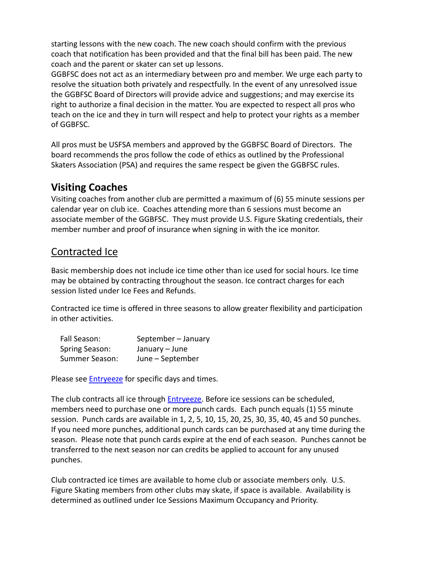starting lessons with the new coach. The new coach should confirm with the previous coach that notification has been provided and that the final bill has been paid. The new coach and the parent or skater can set up lessons.

GGBFSC does not act as an intermediary between pro and member. We urge each party to resolve the situation both privately and respectfully. In the event of any unresolved issue the GGBFSC Board of Directors will provide advice and suggestions; and may exercise its right to authorize a final decision in the matter. You are expected to respect all pros who teach on the ice and they in turn will respect and help to protect your rights as a member of GGBFSC.

All pros must be USFSA members and approved by the GGBFSC Board of Directors. The board recommends the pros follow the code of ethics as outlined by the Professional Skaters Association (PSA) and requires the same respect be given the GGBFSC rules.

## **Visiting Coaches**

Visiting coaches from another club are permitted a maximum of (6) 55 minute sessions per calendar year on club ice. Coaches attending more than 6 sessions must become an associate member of the GGBFSC. They must provide U.S. Figure Skating credentials, their member number and proof of insurance when signing in with the ice monitor.

# Contracted Ice

Basic membership does not include ice time other than ice used for social hours. Ice time may be obtained by contracting throughout the season. Ice contract charges for each session listed under Ice Fees and Refunds.

Contracted ice time is offered in three seasons to allow greater flexibility and participation in other activities.

| Fall Season:   | September - January |
|----------------|---------------------|
| Spring Season: | January - June      |
| Summer Season: | June – September    |

Please see **[Entryeeze](http://comp.entryeeze.com/Membership/Welcome.aspx?cid=221)** for specific days and times.

The club contracts all ice through [Entryeeze.](http://comp.entryeeze.com/Membership/Welcome.aspx?cid=221) Before ice sessions can be scheduled, members need to purchase one or more punch cards. Each punch equals (1) 55 minute session. Punch cards are available in 1, 2, 5, 10, 15, 20, 25, 30, 35, 40, 45 and 50 punches. If you need more punches, additional punch cards can be purchased at any time during the season. Please note that punch cards expire at the end of each season. Punches cannot be transferred to the next season nor can credits be applied to account for any unused punches.

Club contracted ice times are available to home club or associate members only. U.S. Figure Skating members from other clubs may skate, if space is available. Availability is determined as outlined under Ice Sessions Maximum Occupancy and Priority.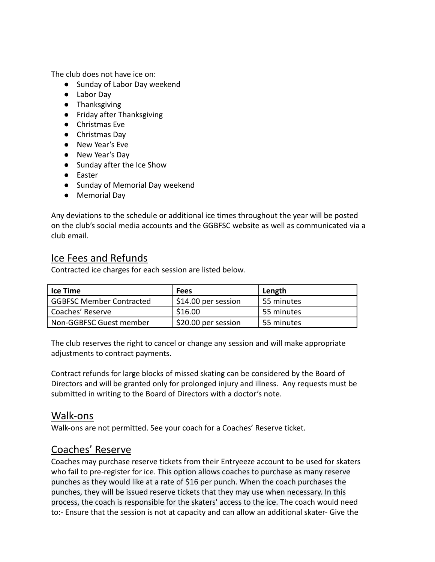The club does not have ice on:

- Sunday of Labor Day weekend
- Labor Day
- Thanksgiving
- Friday after Thanksgiving
- Christmas Eve
- Christmas Dav
- New Year's Eve
- New Year's Day
- Sunday after the Ice Show
- Easter
- Sunday of Memorial Day weekend
- Memorial Day

Any deviations to the schedule or additional ice times throughout the year will be posted on the club's social media accounts and the GGBFSC website as well as communicated via a club email.

### Ice Fees and Refunds

Contracted ice charges for each session are listed below.

| Ice Time                        | <b>Fees</b>         | Length       |
|---------------------------------|---------------------|--------------|
| <b>GGBFSC Member Contracted</b> | S14.00 per session  | l 55 minutes |
| Coaches' Reserve                | \$16.00             | l 55 minutes |
| Non-GGBFSC Guest member         | \$20.00 per session | l 55 minutes |

The club reserves the right to cancel or change any session and will make appropriate adjustments to contract payments.

Contract refunds for large blocks of missed skating can be considered by the Board of Directors and will be granted only for prolonged injury and illness. Any requests must be submitted in writing to the Board of Directors with a doctor's note.

### Walk-ons

Walk-ons are not permitted. See your coach for a Coaches' Reserve ticket.

### Coaches' Reserve

Coaches may purchase reserve tickets from their Entryeeze account to be used for skaters who fail to pre-register for ice. This option allows coaches to purchase as many reserve punches as they would like at a rate of \$16 per punch. When the coach purchases the punches, they will be issued reserve tickets that they may use when necessary. In this process, the coach is responsible for the skaters' access to the ice. The coach would need to:- Ensure that the session is not at capacity and can allow an additional skater- Give the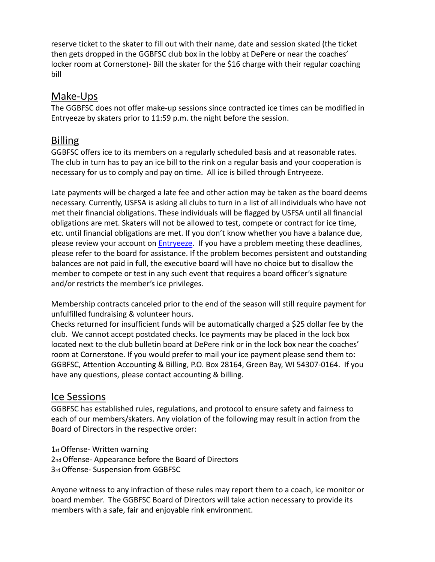reserve ticket to the skater to fill out with their name, date and session skated (the ticket then gets dropped in the GGBFSC club box in the lobby at DePere or near the coaches' locker room at Cornerstone)- Bill the skater for the \$16 charge with their regular coaching bill

### Make-Ups

The GGBFSC does not offer make-up sessions since contracted ice times can be modified in Entryeeze by skaters prior to 11:59 p.m. the night before the session.

### Billing

GGBFSC offers ice to its members on a regularly scheduled basis and at reasonable rates. The club in turn has to pay an ice bill to the rink on a regular basis and your cooperation is necessary for us to comply and pay on time. All ice is billed through Entryeeze.

Late payments will be charged a late fee and other action may be taken as the board deems necessary. Currently, USFSA is asking all clubs to turn in a list of all individuals who have not met their financial obligations. These individuals will be flagged by USFSA until all financial obligations are met. Skaters will not be allowed to test, compete or contract for ice time, etc. until financial obligations are met. If you don't know whether you have a balance due, please review your account on [Entryeeze.](http://comp.entryeeze.com/Membership/Welcome.aspx?cid=221) If you have a problem meeting these deadlines, please refer to the board for assistance. If the problem becomes persistent and outstanding balances are not paid in full, the executive board will have no choice but to disallow the member to compete or test in any such event that requires a board officer's signature and/or restricts the member's ice privileges.

Membership contracts canceled prior to the end of the season will still require payment for unfulfilled fundraising & volunteer hours.

Checks returned for insufficient funds will be automatically charged a \$25 dollar fee by the club. We cannot accept postdated checks. Ice payments may be placed in the lock box located next to the club bulletin board at DePere rink or in the lock box near the coaches' room at Cornerstone. If you would prefer to mail your ice payment please send them to: GGBFSC, Attention Accounting & Billing, P.O. Box 28164, Green Bay, WI 54307-0164. If you have any questions, please contact accounting & billing.

### Ice Sessions

GGBFSC has established rules, regulations, and protocol to ensure safety and fairness to each of our members/skaters. Any violation of the following may result in action from the Board of Directors in the respective order:

1stOffense- Written warning 2nd Offense- Appearance before the Board of Directors 3rdOffense- Suspension from GGBFSC

Anyone witness to any infraction of these rules may report them to a coach, ice monitor or board member. The GGBFSC Board of Directors will take action necessary to provide its members with a safe, fair and enjoyable rink environment.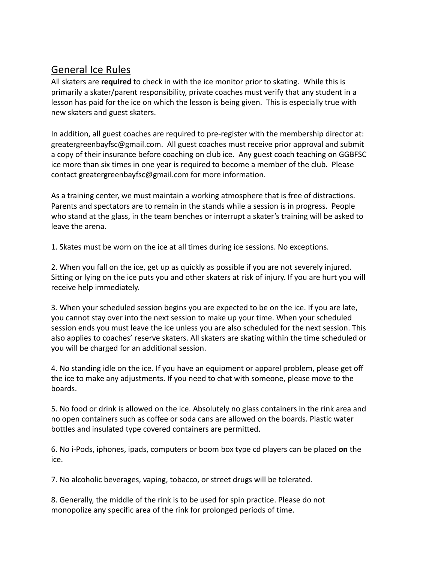# General Ice Rules

All skaters are **required** to check in with the ice monitor prior to skating. While this is primarily a skater/parent responsibility, private coaches must verify that any student in a lesson has paid for the ice on which the lesson is being given. This is especially true with new skaters and guest skaters.

In addition, all guest coaches are required to pre-register with the membership director at: greatergreenbayfsc@gmail.com. All guest coaches must receive prior approval and submit a copy of their insurance before coaching on club ice. Any guest coach teaching on GGBFSC ice more than six times in one year is required to become a member of the club. Please contact greatergreenbayfsc@gmail.com for more information.

As a training center, we must maintain a working atmosphere that is free of distractions. Parents and spectators are to remain in the stands while a session is in progress. People who stand at the glass, in the team benches or interrupt a skater's training will be asked to leave the arena.

1. Skates must be worn on the ice at all times during ice sessions. No exceptions.

2. When you fall on the ice, get up as quickly as possible if you are not severely injured. Sitting or lying on the ice puts you and other skaters at risk of injury. If you are hurt you will receive help immediately.

3. When your scheduled session begins you are expected to be on the ice. If you are late, you cannot stay over into the next session to make up your time. When your scheduled session ends you must leave the ice unless you are also scheduled for the next session. This also applies to coaches' reserve skaters. All skaters are skating within the time scheduled or you will be charged for an additional session.

4. No standing idle on the ice. If you have an equipment or apparel problem, please get off the ice to make any adjustments. If you need to chat with someone, please move to the boards.

5. No food or drink is allowed on the ice. Absolutely no glass containers in the rink area and no open containers such as coffee or soda cans are allowed on the boards. Plastic water bottles and insulated type covered containers are permitted.

6. No i-Pods, iphones, ipads, computers or boom box type cd players can be placed **on** the ice.

7. No alcoholic beverages, vaping, tobacco, or street drugs will be tolerated.

8. Generally, the middle of the rink is to be used for spin practice. Please do not monopolize any specific area of the rink for prolonged periods of time.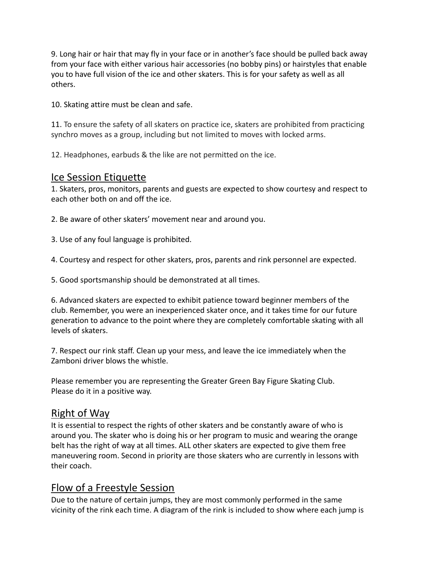9. Long hair or hair that may fly in your face or in another's face should be pulled back away from your face with either various hair accessories (no bobby pins) or hairstyles that enable you to have full vision of the ice and other skaters. This is for your safety as well as all others.

10. Skating attire must be clean and safe.

11. To ensure the safety of all skaters on practice ice, skaters are prohibited from practicing synchro moves as a group, including but not limited to moves with locked arms.

12. Headphones, earbuds & the like are not permitted on the ice.

### Ice Session Etiquette

1. Skaters, pros, monitors, parents and guests are expected to show courtesy and respect to each other both on and off the ice.

2. Be aware of other skaters' movement near and around you.

3. Use of any foul language is prohibited.

4. Courtesy and respect for other skaters, pros, parents and rink personnel are expected.

5. Good sportsmanship should be demonstrated at all times.

6. Advanced skaters are expected to exhibit patience toward beginner members of the club. Remember, you were an inexperienced skater once, and it takes time for our future generation to advance to the point where they are completely comfortable skating with all levels of skaters.

7. Respect our rink staff. Clean up your mess, and leave the ice immediately when the Zamboni driver blows the whistle.

Please remember you are representing the Greater Green Bay Figure Skating Club. Please do it in a positive way.

### Right of Way

It is essential to respect the rights of other skaters and be constantly aware of who is around you. The skater who is doing his or her program to music and wearing the orange belt has the right of way at all times. ALL other skaters are expected to give them free maneuvering room. Second in priority are those skaters who are currently in lessons with their coach.

## Flow of a Freestyle Session

Due to the nature of certain jumps, they are most commonly performed in the same vicinity of the rink each time. A diagram of the rink is included to show where each jump is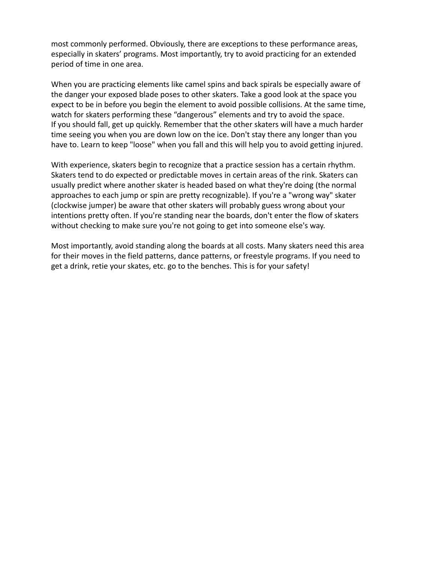most commonly performed. Obviously, there are exceptions to these performance areas, especially in skaters' programs. Most importantly, try to avoid practicing for an extended period of time in one area.

When you are practicing elements like camel spins and back spirals be especially aware of the danger your exposed blade poses to other skaters. Take a good look at the space you expect to be in before you begin the element to avoid possible collisions. At the same time, watch for skaters performing these "dangerous" elements and try to avoid the space. If you should fall, get up quickly. Remember that the other skaters will have a much harder time seeing you when you are down low on the ice. Don't stay there any longer than you have to. Learn to keep "loose" when you fall and this will help you to avoid getting injured.

With experience, skaters begin to recognize that a practice session has a certain rhythm. Skaters tend to do expected or predictable moves in certain areas of the rink. Skaters can usually predict where another skater is headed based on what they're doing (the normal approaches to each jump or spin are pretty recognizable). If you're a "wrong way" skater (clockwise jumper) be aware that other skaters will probably guess wrong about your intentions pretty often. If you're standing near the boards, don't enter the flow of skaters without checking to make sure you're not going to get into someone else's way.

Most importantly, avoid standing along the boards at all costs. Many skaters need this area for their moves in the field patterns, dance patterns, or freestyle programs. If you need to get a drink, retie your skates, etc. go to the benches. This is for your safety!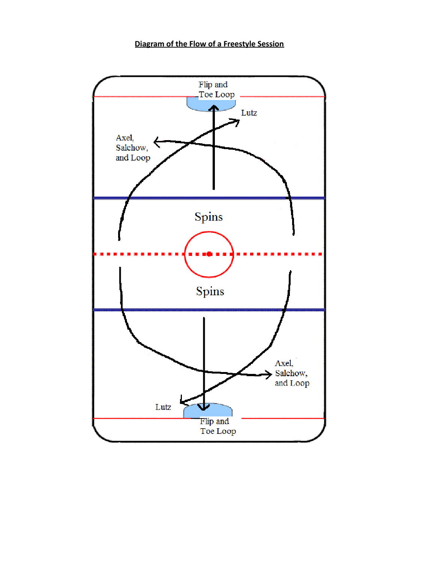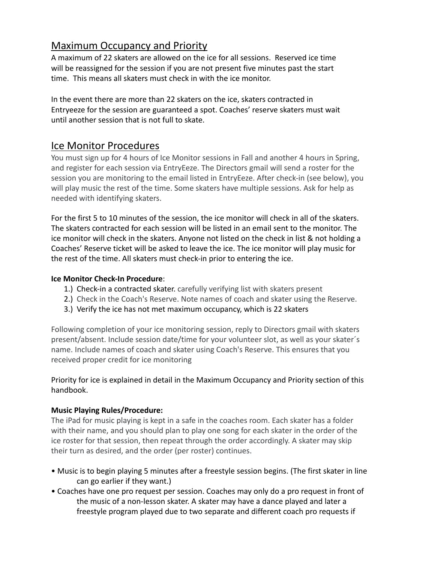# Maximum Occupancy and Priority

A maximum of 22 skaters are allowed on the ice for all sessions. Reserved ice time will be reassigned for the session if you are not present five minutes past the start time. This means all skaters must check in with the ice monitor.

In the event there are more than 22 skaters on the ice, skaters contracted in Entryeeze for the session are guaranteed a spot. Coaches' reserve skaters must wait until another session that is not full to skate.

### Ice Monitor Procedures

You must sign up for 4 hours of Ice Monitor sessions in Fall and another 4 hours in Spring, and register for each session via EntryEeze. The Directors gmail will send a roster for the session you are monitoring to the email listed in EntryEeze. After check-in (see below), you will play music the rest of the time. Some skaters have multiple sessions. Ask for help as needed with identifying skaters.

For the first 5 to 10 minutes of the session, the ice monitor will check in all of the skaters. The skaters contracted for each session will be listed in an email sent to the monitor. The ice monitor will check in the skaters. Anyone not listed on the check in list & not holding a Coaches' Reserve ticket will be asked to leave the ice. The ice monitor will play music for the rest of the time. All skaters must check-in prior to entering the ice.

#### **Ice Monitor Check-In Procedure**:

- 1.) Check-in a contracted skater. carefully verifying list with skaters present
- 2.) Check in the Coach's Reserve. Note names of coach and skater using the Reserve.
- 3.) Verify the ice has not met maximum occupancy, which is 22 skaters

Following completion of your ice monitoring session, reply to Directors gmail with skaters present/absent. Include session date/time for your volunteer slot, as well as your skater´s name. Include names of coach and skater using Coach's Reserve. This ensures that you received proper credit for ice monitoring

#### Priority for ice is explained in detail in the Maximum Occupancy and Priority section of this handbook.

#### **Music Playing Rules/Procedure:**

The iPad for music playing is kept in a safe in the coaches room. Each skater has a folder with their name, and you should plan to play one song for each skater in the order of the ice roster for that session, then repeat through the order accordingly. A skater may skip their turn as desired, and the order (per roster) continues.

- Music is to begin playing 5 minutes after a freestyle session begins. (The first skater in line can go earlier if they want.)
- Coaches have one pro request per session. Coaches may only do a pro request in front of the music of a non-lesson skater. A skater may have a dance played and later a freestyle program played due to two separate and different coach pro requests if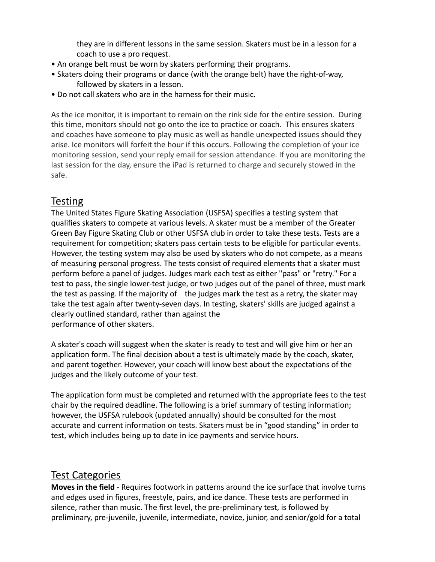they are in different lessons in the same session. Skaters must be in a lesson for a coach to use a pro request.

- An orange belt must be worn by skaters performing their programs.
- Skaters doing their programs or dance (with the orange belt) have the right-of-way, followed by skaters in a lesson.
- Do not call skaters who are in the harness for their music.

As the ice monitor, it is important to remain on the rink side for the entire session. During this time, monitors should not go onto the ice to practice or coach. This ensures skaters and coaches have someone to play music as well as handle unexpected issues should they arise. Ice monitors will forfeit the hour if this occurs. Following the completion of your ice monitoring session, send your reply email for session attendance. If you are monitoring the last session for the day, ensure the iPad is returned to charge and securely stowed in the safe.

### **Testing**

The United States Figure Skating Association (USFSA) specifies a testing system that qualifies skaters to compete at various levels. A skater must be a member of the Greater Green Bay Figure Skating Club or other USFSA club in order to take these tests. Tests are a requirement for competition; skaters pass certain tests to be eligible for particular events. However, the testing system may also be used by skaters who do not compete, as a means of measuring personal progress. The tests consist of required elements that a skater must perform before a panel of judges. Judges mark each test as either "pass" or "retry." For a test to pass, the single lower-test judge, or two judges out of the panel of three, must mark the test as passing. If the majority of the judges mark the test as a retry, the skater may take the test again after twenty-seven days. In testing, skaters' skills are judged against a clearly outlined standard, rather than against the performance of other skaters.

A skater's coach will suggest when the skater is ready to test and will give him or her an application form. The final decision about a test is ultimately made by the coach, skater, and parent together. However, your coach will know best about the expectations of the judges and the likely outcome of your test.

The application form must be completed and returned with the appropriate fees to the test chair by the required deadline. The following is a brief summary of testing information; however, the USFSA rulebook (updated annually) should be consulted for the most accurate and current information on tests. Skaters must be in "good standing" in order to test, which includes being up to date in ice payments and service hours.

## Test Categories

**Moves in the field** - Requires footwork in patterns around the ice surface that involve turns and edges used in figures, freestyle, pairs, and ice dance. These tests are performed in silence, rather than music. The first level, the pre-preliminary test, is followed by preliminary, pre-juvenile, juvenile, intermediate, novice, junior, and senior/gold for a total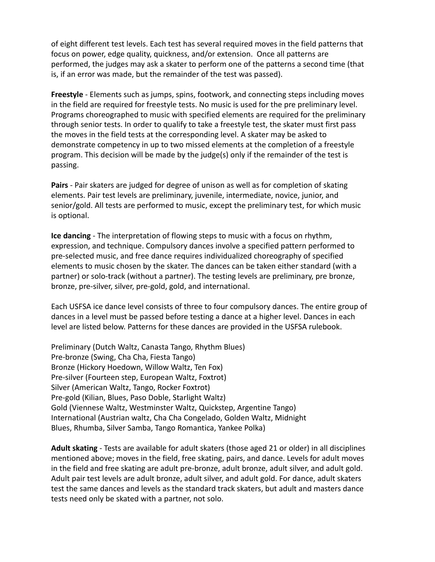of eight different test levels. Each test has several required moves in the field patterns that focus on power, edge quality, quickness, and/or extension. Once all patterns are performed, the judges may ask a skater to perform one of the patterns a second time (that is, if an error was made, but the remainder of the test was passed).

**Freestyle** - Elements such as jumps, spins, footwork, and connecting steps including moves in the field are required for freestyle tests. No music is used for the pre preliminary level. Programs choreographed to music with specified elements are required for the preliminary through senior tests. In order to qualify to take a freestyle test, the skater must first pass the moves in the field tests at the corresponding level. A skater may be asked to demonstrate competency in up to two missed elements at the completion of a freestyle program. This decision will be made by the judge(s) only if the remainder of the test is passing.

**Pairs** - Pair skaters are judged for degree of unison as well as for completion of skating elements. Pair test levels are preliminary, juvenile, intermediate, novice, junior, and senior/gold. All tests are performed to music, except the preliminary test, for which music is optional.

**Ice dancing** - The interpretation of flowing steps to music with a focus on rhythm, expression, and technique. Compulsory dances involve a specified pattern performed to pre-selected music, and free dance requires individualized choreography of specified elements to music chosen by the skater. The dances can be taken either standard (with a partner) or solo-track (without a partner). The testing levels are preliminary, pre bronze, bronze, pre-silver, silver, pre-gold, gold, and international.

Each USFSA ice dance level consists of three to four compulsory dances. The entire group of dances in a level must be passed before testing a dance at a higher level. Dances in each level are listed below. Patterns for these dances are provided in the USFSA rulebook.

Preliminary (Dutch Waltz, Canasta Tango, Rhythm Blues) Pre-bronze (Swing, Cha Cha, Fiesta Tango) Bronze (Hickory Hoedown, Willow Waltz, Ten Fox) Pre-silver (Fourteen step, European Waltz, Foxtrot) Silver (American Waltz, Tango, Rocker Foxtrot) Pre-gold (Kilian, Blues, Paso Doble, Starlight Waltz) Gold (Viennese Waltz, Westminster Waltz, Quickstep, Argentine Tango) International (Austrian waltz, Cha Cha Congelado, Golden Waltz, Midnight Blues, Rhumba, Silver Samba, Tango Romantica, Yankee Polka)

**Adult skating** - Tests are available for adult skaters (those aged 21 or older) in all disciplines mentioned above; moves in the field, free skating, pairs, and dance. Levels for adult moves in the field and free skating are adult pre-bronze, adult bronze, adult silver, and adult gold. Adult pair test levels are adult bronze, adult silver, and adult gold. For dance, adult skaters test the same dances and levels as the standard track skaters, but adult and masters dance tests need only be skated with a partner, not solo.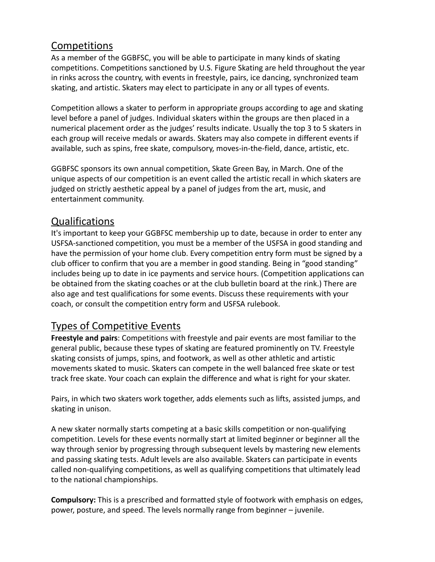## Competitions

As a member of the GGBFSC, you will be able to participate in many kinds of skating competitions. Competitions sanctioned by U.S. Figure Skating are held throughout the year in rinks across the country, with events in freestyle, pairs, ice dancing, synchronized team skating, and artistic. Skaters may elect to participate in any or all types of events.

Competition allows a skater to perform in appropriate groups according to age and skating level before a panel of judges. Individual skaters within the groups are then placed in a numerical placement order as the judges' results indicate. Usually the top 3 to 5 skaters in each group will receive medals or awards. Skaters may also compete in different events if available, such as spins, free skate, compulsory, moves-in-the-field, dance, artistic, etc.

GGBFSC sponsors its own annual competition, Skate Green Bay, in March. One of the unique aspects of our competition is an event called the artistic recall in which skaters are judged on strictly aesthetic appeal by a panel of judges from the art, music, and entertainment community.

### Qualifications

It's important to keep your GGBFSC membership up to date, because in order to enter any USFSA-sanctioned competition, you must be a member of the USFSA in good standing and have the permission of your home club. Every competition entry form must be signed by a club officer to confirm that you are a member in good standing. Being in "good standing" includes being up to date in ice payments and service hours. (Competition applications can be obtained from the skating coaches or at the club bulletin board at the rink.) There are also age and test qualifications for some events. Discuss these requirements with your coach, or consult the competition entry form and USFSA rulebook.

## Types of Competitive Events

**Freestyle and pairs**: Competitions with freestyle and pair events are most familiar to the general public, because these types of skating are featured prominently on TV. Freestyle skating consists of jumps, spins, and footwork, as well as other athletic and artistic movements skated to music. Skaters can compete in the well balanced free skate or test track free skate. Your coach can explain the difference and what is right for your skater.

Pairs, in which two skaters work together, adds elements such as lifts, assisted jumps, and skating in unison.

A new skater normally starts competing at a basic skills competition or non-qualifying competition. Levels for these events normally start at limited beginner or beginner all the way through senior by progressing through subsequent levels by mastering new elements and passing skating tests. Adult levels are also available. Skaters can participate in events called non-qualifying competitions, as well as qualifying competitions that ultimately lead to the national championships.

**Compulsory:** This is a prescribed and formatted style of footwork with emphasis on edges, power, posture, and speed. The levels normally range from beginner – juvenile.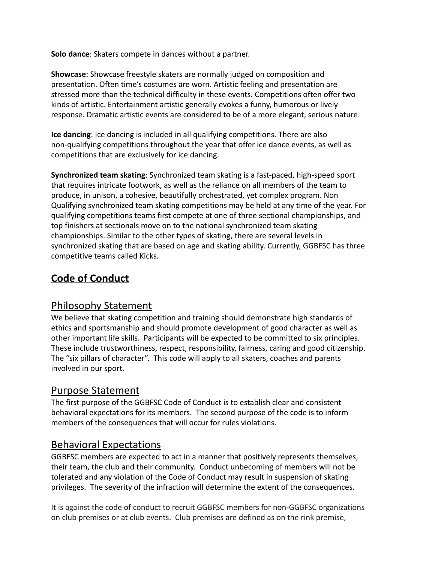**Solo dance**: Skaters compete in dances without a partner.

**Showcase**: Showcase freestyle skaters are normally judged on composition and presentation. Often time's costumes are worn. Artistic feeling and presentation are stressed more than the technical difficulty in these events. Competitions often offer two kinds of artistic. Entertainment artistic generally evokes a funny, humorous or lively response. Dramatic artistic events are considered to be of a more elegant, serious nature.

**Ice dancing**: Ice dancing is included in all qualifying competitions. There are also non-qualifying competitions throughout the year that offer ice dance events, as well as competitions that are exclusively for ice dancing.

**Synchronized team skating**: Synchronized team skating is a fast-paced, high-speed sport that requires intricate footwork, as well as the reliance on all members of the team to produce, in unison, a cohesive, beautifully orchestrated, yet complex program. Non Qualifying synchronized team skating competitions may be held at any time of the year. For qualifying competitions teams first compete at one of three sectional championships, and top finishers at sectionals move on to the national synchronized team skating championships. Similar to the other types of skating, there are several levels in synchronized skating that are based on age and skating ability. Currently, GGBFSC has three competitive teams called Kicks.

# **Code of Conduct**

### Philosophy Statement

We believe that skating competition and training should demonstrate high standards of ethics and sportsmanship and should promote development of good character as well as other important life skills. Participants will be expected to be committed to six principles. These include trustworthiness, respect, responsibility, fairness, caring and good citizenship. The "six pillars of character". This code will apply to all skaters, coaches and parents involved in our sport.

### Purpose Statement

The first purpose of the GGBFSC Code of Conduct is to establish clear and consistent behavioral expectations for its members. The second purpose of the code is to inform members of the consequences that will occur for rules violations.

### Behavioral Expectations

GGBFSC members are expected to act in a manner that positively represents themselves, their team, the club and their community. Conduct unbecoming of members will not be tolerated and any violation of the Code of Conduct may result in suspension of skating privileges. The severity of the infraction will determine the extent of the consequences.

It is against the code of conduct to recruit GGBFSC members for non-GGBFSC organizations on club premises or at club events. Club premises are defined as on the rink premise,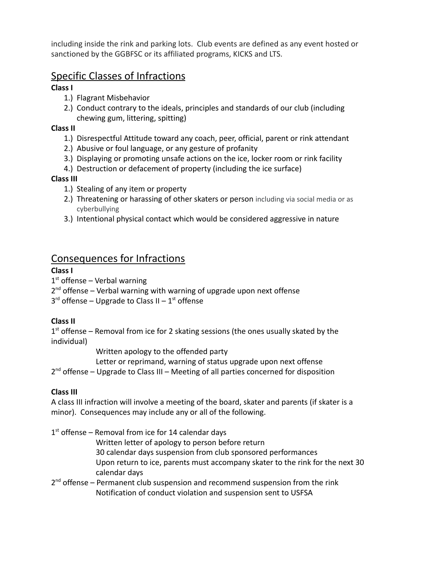including inside the rink and parking lots. Club events are defined as any event hosted or sanctioned by the GGBFSC or its affiliated programs, KICKS and LTS.

### Specific Classes of Infractions

#### **Class I**

- 1.) Flagrant Misbehavior
- 2.) Conduct contrary to the ideals, principles and standards of our club (including chewing gum, littering, spitting)

#### **Class II**

- 1.) Disrespectful Attitude toward any coach, peer, official, parent or rink attendant
- 2.) Abusive or foul language, or any gesture of profanity
- 3.) Displaying or promoting unsafe actions on the ice, locker room or rink facility
- 4.) Destruction or defacement of property (including the ice surface)

#### **Class III**

- 1.) Stealing of any item or property
- 2.) Threatening or harassing of other skaters or person including via social media or as cyberbullying
- 3.) Intentional physical contact which would be considered aggressive in nature

## Consequences for Infractions

#### **Class I**

1<sup>st</sup> offense – Verbal warning

- 2<sup>nd</sup> offense Verbal warning with warning of upgrade upon next offense
- $3<sup>rd</sup>$  offense Upgrade to Class II  $1<sup>st</sup>$  offense

### **Class II**

 $1<sup>st</sup>$  offense – Removal from ice for 2 skating sessions (the ones usually skated by the individual)

Written apology to the offended party

Letter or reprimand, warning of status upgrade upon next offense

2<sup>nd</sup> offense – Upgrade to Class III – Meeting of all parties concerned for disposition

### **Class III**

A class III infraction will involve a meeting of the board, skater and parents (if skater is a minor). Consequences may include any or all of the following.

1<sup>st</sup> offense – Removal from ice for 14 calendar days

Written letter of apology to person before return

30 calendar days suspension from club sponsored performances

Upon return to ice, parents must accompany skater to the rink for the next 30 calendar days

2<sup>nd</sup> offense – Permanent club suspension and recommend suspension from the rink Notification of conduct violation and suspension sent to USFSA